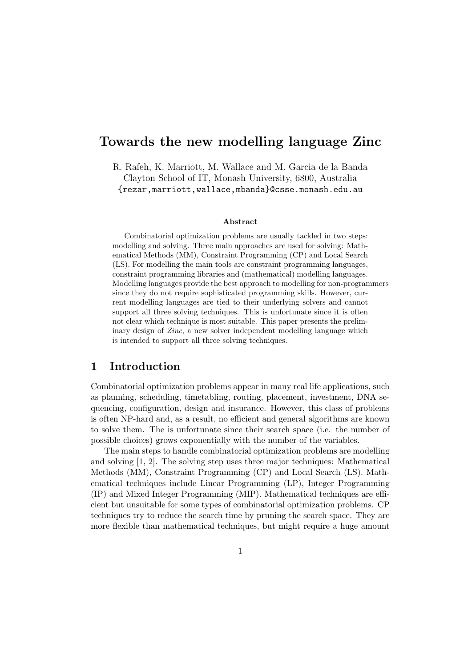# Towards the new modelling language Zinc

R. Rafeh, K. Marriott, M. Wallace and M. Garcia de la Banda Clayton School of IT, Monash University, 6800, Australia {rezar,marriott,wallace,mbanda}@csse.monash.edu.au

#### Abstract

Combinatorial optimization problems are usually tackled in two steps: modelling and solving. Three main approaches are used for solving: Mathematical Methods (MM), Constraint Programming (CP) and Local Search (LS). For modelling the main tools are constraint programming languages, constraint programming libraries and (mathematical) modelling languages. Modelling languages provide the best approach to modelling for non-programmers since they do not require sophisticated programming skills. However, current modelling languages are tied to their underlying solvers and cannot support all three solving techniques. This is unfortunate since it is often not clear which technique is most suitable. This paper presents the preliminary design of Zinc, a new solver independent modelling language which is intended to support all three solving techniques.

#### 1 Introduction

Combinatorial optimization problems appear in many real life applications, such as planning, scheduling, timetabling, routing, placement, investment, DNA sequencing, configuration, design and insurance. However, this class of problems is often NP-hard and, as a result, no efficient and general algorithms are known to solve them. The is unfortunate since their search space (i.e. the number of possible choices) grows exponentially with the number of the variables.

The main steps to handle combinatorial optimization problems are modelling and solving [1, 2]. The solving step uses three major techniques: Mathematical Methods (MM), Constraint Programming (CP) and Local Search (LS). Mathematical techniques include Linear Programming (LP), Integer Programming (IP) and Mixed Integer Programming (MIP). Mathematical techniques are efficient but unsuitable for some types of combinatorial optimization problems. CP techniques try to reduce the search time by pruning the search space. They are more flexible than mathematical techniques, but might require a huge amount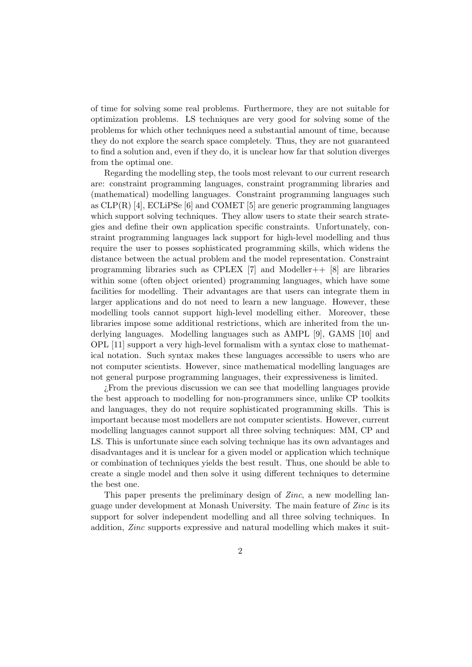of time for solving some real problems. Furthermore, they are not suitable for optimization problems. LS techniques are very good for solving some of the problems for which other techniques need a substantial amount of time, because they do not explore the search space completely. Thus, they are not guaranteed to find a solution and, even if they do, it is unclear how far that solution diverges from the optimal one.

Regarding the modelling step, the tools most relevant to our current research are: constraint programming languages, constraint programming libraries and (mathematical) modelling languages. Constraint programming languages such as  $CLP(R)$  [4],  $ECLiPSe$  [6] and  $COMET$  [5] are generic programming languages which support solving techniques. They allow users to state their search strategies and define their own application specific constraints. Unfortunately, constraint programming languages lack support for high-level modelling and thus require the user to posses sophisticated programming skills, which widens the distance between the actual problem and the model representation. Constraint programming libraries such as CPLEX  $[7]$  and Modeller++  $[8]$  are libraries within some (often object oriented) programming languages, which have some facilities for modelling. Their advantages are that users can integrate them in larger applications and do not need to learn a new language. However, these modelling tools cannot support high-level modelling either. Moreover, these libraries impose some additional restrictions, which are inherited from the underlying languages. Modelling languages such as AMPL [9], GAMS [10] and OPL [11] support a very high-level formalism with a syntax close to mathematical notation. Such syntax makes these languages accessible to users who are not computer scientists. However, since mathematical modelling languages are not general purpose programming languages, their expressiveness is limited.

¿From the previous discussion we can see that modelling languages provide the best approach to modelling for non-programmers since, unlike CP toolkits and languages, they do not require sophisticated programming skills. This is important because most modellers are not computer scientists. However, current modelling languages cannot support all three solving techniques: MM, CP and LS. This is unfortunate since each solving technique has its own advantages and disadvantages and it is unclear for a given model or application which technique or combination of techniques yields the best result. Thus, one should be able to create a single model and then solve it using different techniques to determine the best one.

This paper presents the preliminary design of Zinc, a new modelling language under development at Monash University. The main feature of Zinc is its support for solver independent modelling and all three solving techniques. In addition, Zinc supports expressive and natural modelling which makes it suit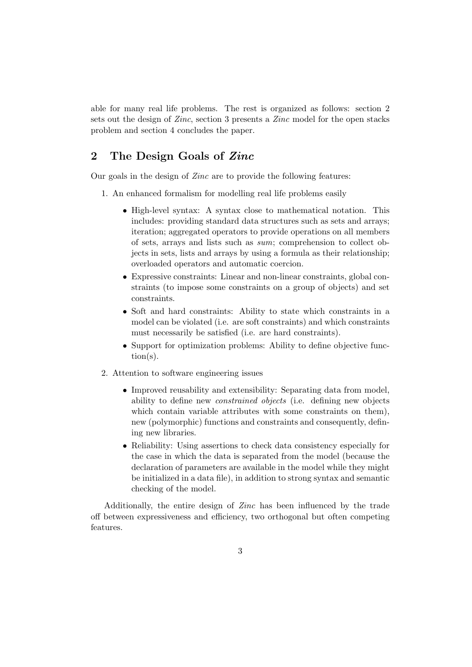able for many real life problems. The rest is organized as follows: section 2 sets out the design of Zinc, section 3 presents a Zinc model for the open stacks problem and section 4 concludes the paper.

# 2 The Design Goals of Zinc

Our goals in the design of Zinc are to provide the following features:

- 1. An enhanced formalism for modelling real life problems easily
	- High-level syntax: A syntax close to mathematical notation. This includes: providing standard data structures such as sets and arrays; iteration; aggregated operators to provide operations on all members of sets, arrays and lists such as sum; comprehension to collect objects in sets, lists and arrays by using a formula as their relationship; overloaded operators and automatic coercion.
	- Expressive constraints: Linear and non-linear constraints, global constraints (to impose some constraints on a group of objects) and set constraints.
	- Soft and hard constraints: Ability to state which constraints in a model can be violated (i.e. are soft constraints) and which constraints must necessarily be satisfied (i.e. are hard constraints).
	- Support for optimization problems: Ability to define objective function(s).
- 2. Attention to software engineering issues
	- Improved reusability and extensibility: Separating data from model, ability to define new constrained objects (i.e. defining new objects which contain variable attributes with some constraints on them), new (polymorphic) functions and constraints and consequently, defining new libraries.
	- Reliability: Using assertions to check data consistency especially for the case in which the data is separated from the model (because the declaration of parameters are available in the model while they might be initialized in a data file), in addition to strong syntax and semantic checking of the model.

Additionally, the entire design of Zinc has been influenced by the trade off between expressiveness and efficiency, two orthogonal but often competing features.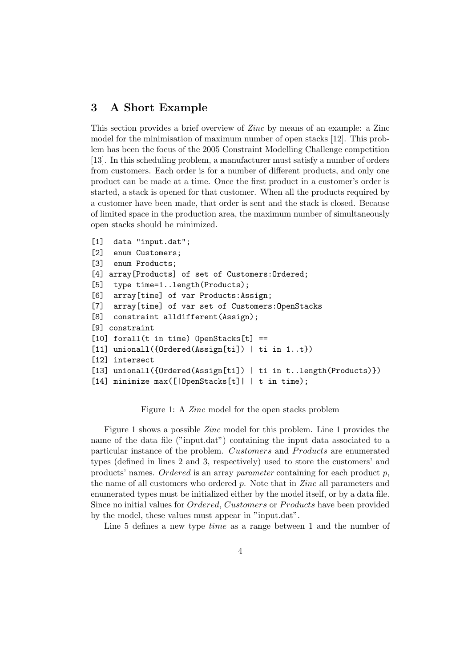## 3 A Short Example

This section provides a brief overview of Zinc by means of an example: a Zinc model for the minimisation of maximum number of open stacks [12]. This problem has been the focus of the 2005 Constraint Modelling Challenge competition [13]. In this scheduling problem, a manufacturer must satisfy a number of orders from customers. Each order is for a number of different products, and only one product can be made at a time. Once the first product in a customer's order is started, a stack is opened for that customer. When all the products required by a customer have been made, that order is sent and the stack is closed. Because of limited space in the production area, the maximum number of simultaneously open stacks should be minimized.

```
[1] data "input.dat";
[2] enum Customers;
[3] enum Products;
[4] array[Products] of set of Customers:Ordered;
[5] type time=1..length(Products);
[6] array[time] of var Products:Assign;
[7] array[time] of var set of Customers:OpenStacks
[8] constraint alldifferent(Assign);
[9] constraint
[10] forall(t in time) OpenStacks[t] ==
[11] unionall({Ordered(Assign[ti]) | ti in 1..t})
[12] intersect
[13] unionall({Ordered(Assign[ti]) | ti in t..length(Products)})
[14] minimize max([|OpenStacks[t]| | t in time);
```
Figure 1: A Zinc model for the open stacks problem

Figure 1 shows a possible Zinc model for this problem. Line 1 provides the name of the data file ("input.dat") containing the input data associated to a particular instance of the problem. Customers and Products are enumerated types (defined in lines 2 and 3, respectively) used to store the customers' and products' names. Ordered is an array parameter containing for each product  $p$ , the name of all customers who ordered  $p$ . Note that in  $Zinc$  all parameters and enumerated types must be initialized either by the model itself, or by a data file. Since no initial values for *Ordered*, *Customers* or *Products* have been provided by the model, these values must appear in "input.dat".

Line 5 defines a new type *time* as a range between 1 and the number of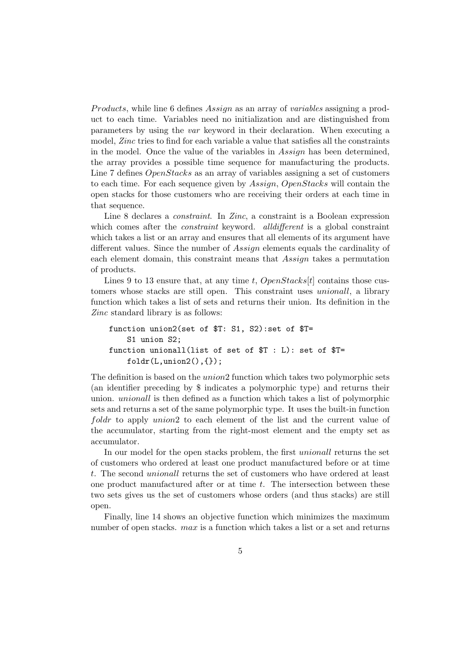Products, while line 6 defines Assign as an array of variables assigning a product to each time. Variables need no initialization and are distinguished from parameters by using the var keyword in their declaration. When executing a model, Zinc tries to find for each variable a value that satisfies all the constraints in the model. Once the value of the variables in Assign has been determined, the array provides a possible time sequence for manufacturing the products. Line 7 defines *OpenStacks* as an array of variables assigning a set of customers to each time. For each sequence given by Assign, OpenStacks will contain the open stacks for those customers who are receiving their orders at each time in that sequence.

Line 8 declares a constraint. In Zinc, a constraint is a Boolean expression which comes after the *constraint* keyword. *all different* is a global constraint which takes a list or an array and ensures that all elements of its argument have different values. Since the number of Assign elements equals the cardinality of each element domain, this constraint means that Assign takes a permutation of products.

Lines 9 to 13 ensure that, at any time t,  $OpenStacks[t]$  contains those customers whose stacks are still open. This constraint uses unionall, a library function which takes a list of sets and returns their union. Its definition in the Zinc standard library is as follows:

```
function union2(set of $T: S1, S2):set of $T=
    S1 union S2;
function unionall(list of set of $T : L): set of $T=
    foldr(L,union2(),\{\});
```
The definition is based on the *union* 2 function which takes two polymorphic sets (an identifier preceding by \$ indicates a polymorphic type) and returns their union. unionall is then defined as a function which takes a list of polymorphic sets and returns a set of the same polymorphic type. It uses the built-in function foldr to apply union? to each element of the list and the current value of the accumulator, starting from the right-most element and the empty set as accumulator.

In our model for the open stacks problem, the first unionall returns the set of customers who ordered at least one product manufactured before or at time t. The second unionall returns the set of customers who have ordered at least one product manufactured after or at time  $t$ . The intersection between these two sets gives us the set of customers whose orders (and thus stacks) are still open.

Finally, line 14 shows an objective function which minimizes the maximum number of open stacks.  $max$  is a function which takes a list or a set and returns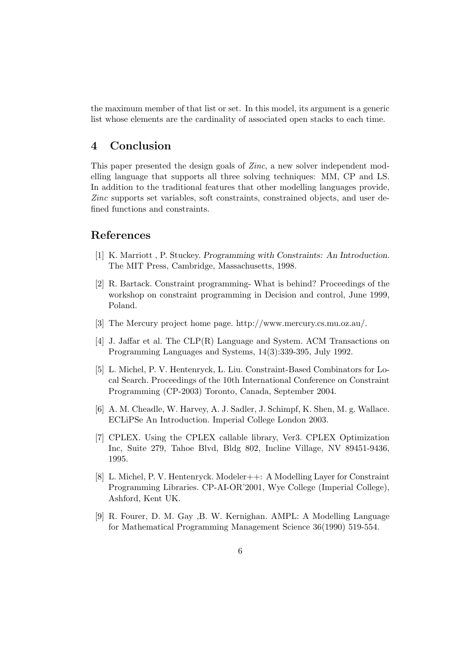the maximum member of that list or set. In this model, its argument is a generic list whose elements are the cardinality of associated open stacks to each time.

## 4 Conclusion

This paper presented the design goals of Zinc, a new solver independent modelling language that supports all three solving techniques: MM, CP and LS. In addition to the traditional features that other modelling languages provide, Zinc supports set variables, soft constraints, constrained objects, and user defined functions and constraints.

#### References

- [1] K. Marriott , P. Stuckey. Programming with Constraints: An Introduction. The MIT Press, Cambridge, Massachusetts, 1998.
- [2] R. Bartack. Constraint programming- What is behind? Proceedings of the workshop on constraint programming in Decision and control, June 1999, Poland.
- [3] The Mercury project home page. http://www.mercury.cs.mu.oz.au/.
- [4] J. Jaffar et al. The CLP(R) Language and System. ACM Transactions on Programming Languages and Systems, 14(3):339-395, July 1992.
- [5] L. Michel, P. V. Hentenryck, L. Liu. Constraint-Based Combinators for Local Search. Proceedings of the 10th International Conference on Constraint Programming (CP-2003) Toronto, Canada, September 2004.
- [6] A. M. Cheadle, W. Harvey, A. J. Sadler, J. Schimpf, K. Shen, M. g. Wallace. ECLiPSe An Introduction. Imperial College London 2003.
- [7] CPLEX. Using the CPLEX callable library, Ver3. CPLEX Optimization Inc, Suite 279, Tahoe Blvd, Bldg 802, Incline Village, NV 89451-9436, 1995.
- [8] L. Michel, P. V. Hentenryck. Modeler++: A Modelling Layer for Constraint Programming Libraries. CP-AI-OR'2001, Wye College (Imperial College), Ashford, Kent UK.
- [9] R. Fourer, D. M. Gay ,B. W. Kernighan. AMPL: A Modelling Language for Mathematical Programming Management Science 36(1990) 519-554.